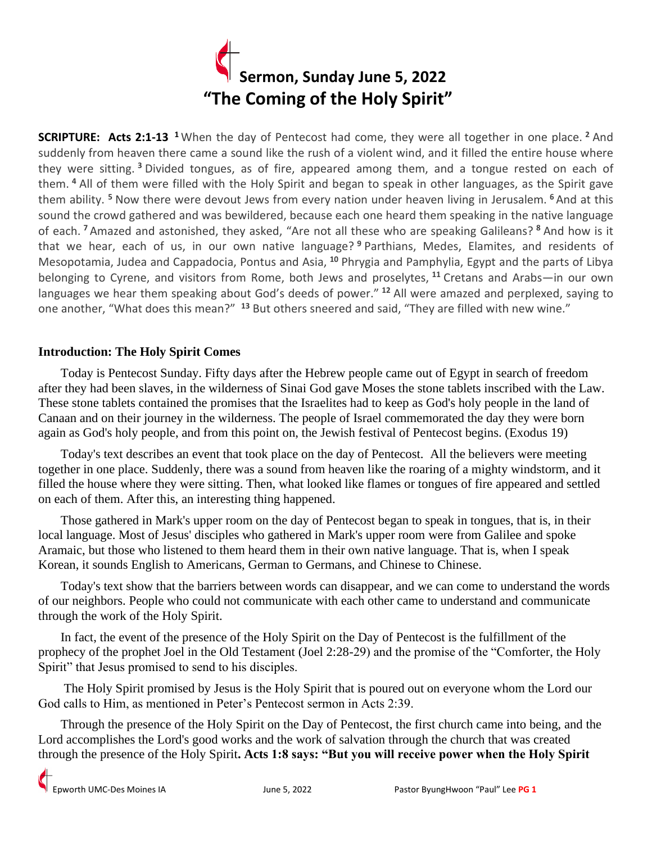

**SCRIPTURE: Acts 2:1-13 <sup>1</sup>** When the day of Pentecost had come, they were all together in one place. **<sup>2</sup>** And suddenly from heaven there came a sound like the rush of a violent wind, and it filled the entire house where they were sitting. **<sup>3</sup>** Divided tongues, as of fire, appeared among them, and a tongue rested on each of them. **<sup>4</sup>** All of them were filled with the Holy Spirit and began to speak in other languages, as the Spirit gave them ability. **<sup>5</sup>** Now there were devout Jews from every nation under heaven living in Jerusalem. **<sup>6</sup>** And at this sound the crowd gathered and was bewildered, because each one heard them speaking in the native language of each. **<sup>7</sup>** Amazed and astonished, they asked, "Are not all these who are speaking Galileans? **<sup>8</sup>** And how is it that we hear, each of us, in our own native language? **<sup>9</sup>** Parthians, Medes, Elamites, and residents of Mesopotamia, Judea and Cappadocia, Pontus and Asia, **<sup>10</sup>** Phrygia and Pamphylia, Egypt and the parts of Libya belonging to Cyrene, and visitors from Rome, both Jews and proselytes, **<sup>11</sup>** Cretans and Arabs—in our own languages we hear them speaking about God's deeds of power." **<sup>12</sup>** All were amazed and perplexed, saying to one another, "What does this mean?" **<sup>13</sup>** But others sneered and said, "They are filled with new wine."

## **Introduction: The Holy Spirit Comes**

 Today is Pentecost Sunday. Fifty days after the Hebrew people came out of Egypt in search of freedom after they had been slaves, in the wilderness of Sinai God gave Moses the stone tablets inscribed with the Law. These stone tablets contained the promises that the Israelites had to keep as God's holy people in the land of Canaan and on their journey in the wilderness. The people of Israel commemorated the day they were born again as God's holy people, and from this point on, the Jewish festival of Pentecost begins. (Exodus 19)

 Today's text describes an event that took place on the day of Pentecost. All the believers were meeting together in one place. Suddenly, there was a sound from heaven like the roaring of a mighty windstorm, and it filled the house where they were sitting. Then, what looked like flames or tongues of fire appeared and settled on each of them. After this, an interesting thing happened.

 Those gathered in Mark's upper room on the day of Pentecost began to speak in tongues, that is, in their local language. Most of Jesus' disciples who gathered in Mark's upper room were from Galilee and spoke Aramaic, but those who listened to them heard them in their own native language. That is, when I speak Korean, it sounds English to Americans, German to Germans, and Chinese to Chinese.

 Today's text show that the barriers between words can disappear, and we can come to understand the words of our neighbors. People who could not communicate with each other came to understand and communicate through the work of the Holy Spirit.

 In fact, the event of the presence of the Holy Spirit on the Day of Pentecost is the fulfillment of the prophecy of the prophet Joel in the Old Testament (Joel 2:28-29) and the promise of the "Comforter, the Holy Spirit" that Jesus promised to send to his disciples.

 The Holy Spirit promised by Jesus is the Holy Spirit that is poured out on everyone whom the Lord our God calls to Him, as mentioned in Peter's Pentecost sermon in Acts 2:39.

 Through the presence of the Holy Spirit on the Day of Pentecost, the first church came into being, and the Lord accomplishes the Lord's good works and the work of salvation through the church that was created through the presence of the Holy Spirit**. Acts 1:8 says: "But you will receive power when the Holy Spirit**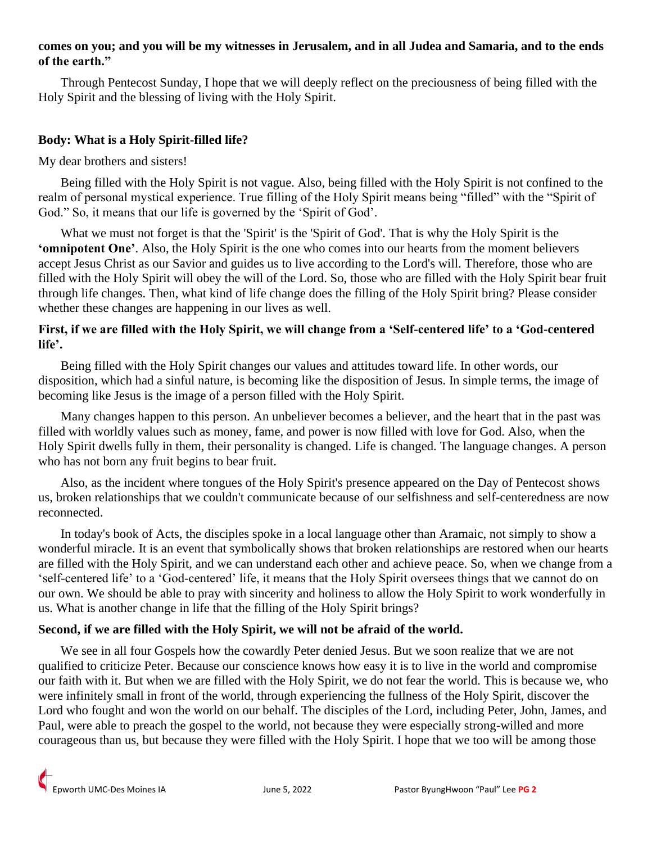### **comes on you; and you will be my witnesses in Jerusalem, and in all Judea and Samaria, and to the ends of the earth."**

 Through Pentecost Sunday, I hope that we will deeply reflect on the preciousness of being filled with the Holy Spirit and the blessing of living with the Holy Spirit.

## **Body: What is a Holy Spirit-filled life?**

My dear brothers and sisters!

 Being filled with the Holy Spirit is not vague. Also, being filled with the Holy Spirit is not confined to the realm of personal mystical experience. True filling of the Holy Spirit means being "filled" with the "Spirit of God." So, it means that our life is governed by the 'Spirit of God'.

 What we must not forget is that the 'Spirit' is the 'Spirit of God'. That is why the Holy Spirit is the **'omnipotent One'**. Also, the Holy Spirit is the one who comes into our hearts from the moment believers accept Jesus Christ as our Savior and guides us to live according to the Lord's will. Therefore, those who are filled with the Holy Spirit will obey the will of the Lord. So, those who are filled with the Holy Spirit bear fruit through life changes. Then, what kind of life change does the filling of the Holy Spirit bring? Please consider whether these changes are happening in our lives as well.

## **First, if we are filled with the Holy Spirit, we will change from a 'Self-centered life' to a 'God-centered life'.**

 Being filled with the Holy Spirit changes our values and attitudes toward life. In other words, our disposition, which had a sinful nature, is becoming like the disposition of Jesus. In simple terms, the image of becoming like Jesus is the image of a person filled with the Holy Spirit.

 Many changes happen to this person. An unbeliever becomes a believer, and the heart that in the past was filled with worldly values such as money, fame, and power is now filled with love for God. Also, when the Holy Spirit dwells fully in them, their personality is changed. Life is changed. The language changes. A person who has not born any fruit begins to bear fruit.

 Also, as the incident where tongues of the Holy Spirit's presence appeared on the Day of Pentecost shows us, broken relationships that we couldn't communicate because of our selfishness and self-centeredness are now reconnected.

 In today's book of Acts, the disciples spoke in a local language other than Aramaic, not simply to show a wonderful miracle. It is an event that symbolically shows that broken relationships are restored when our hearts are filled with the Holy Spirit, and we can understand each other and achieve peace. So, when we change from a 'self-centered life' to a 'God-centered' life, it means that the Holy Spirit oversees things that we cannot do on our own. We should be able to pray with sincerity and holiness to allow the Holy Spirit to work wonderfully in us. What is another change in life that the filling of the Holy Spirit brings?

#### **Second, if we are filled with the Holy Spirit, we will not be afraid of the world.**

We see in all four Gospels how the cowardly Peter denied Jesus. But we soon realize that we are not qualified to criticize Peter. Because our conscience knows how easy it is to live in the world and compromise our faith with it. But when we are filled with the Holy Spirit, we do not fear the world. This is because we, who were infinitely small in front of the world, through experiencing the fullness of the Holy Spirit, discover the Lord who fought and won the world on our behalf. The disciples of the Lord, including Peter, John, James, and Paul, were able to preach the gospel to the world, not because they were especially strong-willed and more courageous than us, but because they were filled with the Holy Spirit. I hope that we too will be among those